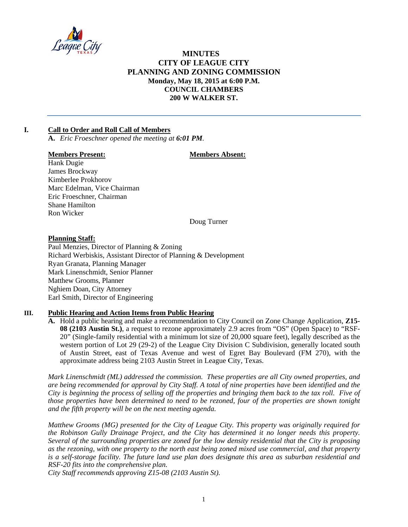

# **MINUTES CITY OF LEAGUE CITY** PLANNING AND ZONING COMMISSION Monday, May 18, 2015 at 6:00 P.M. **COUNCIL CHAMBERS** 200 W WALKER ST.

#### $\mathbf{L}$ **Call to Order and Roll Call of Members**

A. Eric Froeschner opened the meeting at 6:01 PM.

## **Members Present:**

## **Members Absent:**

Hank Dugie James Brockway Kimberlee Prokhorov Marc Edelman, Vice Chairman Eric Froeschner, Chairman **Shane Hamilton** Ron Wicker

Doug Turner

## **Planning Staff:**

Paul Menzies, Director of Planning & Zoning Richard Werbiskis, Assistant Director of Planning & Development Ryan Granata, Planning Manager Mark Linenschmidt, Senior Planner **Matthew Grooms, Planner** Nghiem Doan, City Attorney Earl Smith, Director of Engineering

#### **Public Hearing and Action Items from Public Hearing** III.

A. Hold a public hearing and make a recommendation to City Council on Zone Change Application, Z15-08 (2103 Austin St.), a request to rezone approximately 2.9 acres from "OS" (Open Space) to "RSF-20" (Single-family residential with a minimum lot size of 20,000 square feet), legally described as the western portion of Lot 29 (29-2) of the League City Division C Subdivision, generally located south of Austin Street, east of Texas Avenue and west of Egret Bay Boulevard (FM 270), with the approximate address being 2103 Austin Street in League City, Texas.

Mark Linenschmidt (ML) addressed the commission. These properties are all City owned properties, and are being recommended for approval by City Staff. A total of nine properties have been identified and the City is beginning the process of selling off the properties and bringing them back to the tax roll. Five of those properties have been determined to need to be rezoned, four of the properties are shown tonight and the fifth property will be on the next meeting agenda.

Matthew Grooms (MG) presented for the City of League City. This property was originally required for the Robinson Gully Drainage Project, and the City has determined it no longer needs this property. Several of the surrounding properties are zoned for the low density residential that the City is proposing as the rezoning, with one property to the north east being zoned mixed use commercial, and that property is a self-storage facility. The future land use plan does designate this area as suburban residential and RSF-20 fits into the comprehensive plan.

City Staff recommends approving Z15-08 (2103 Austin St).